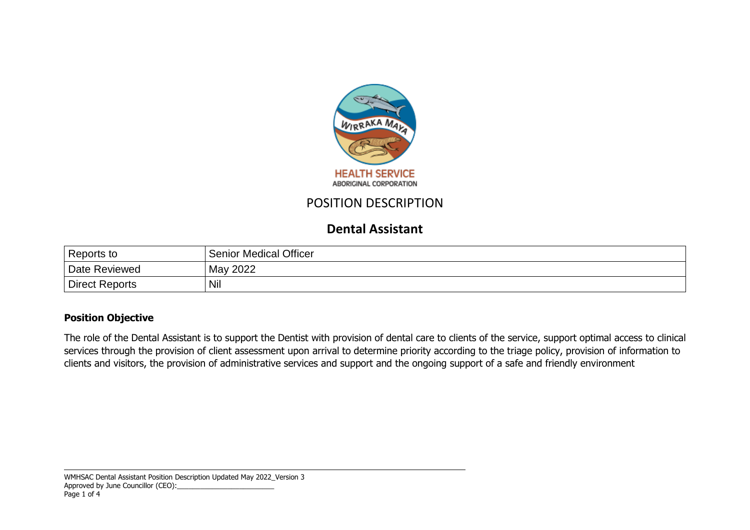

# POSITION DESCRIPTION

# **Dental Assistant**

| Reports to     | <b>Senior Medical Officer</b> |
|----------------|-------------------------------|
| Date Reviewed  | May 2022                      |
| Direct Reports | Nil                           |

## **Position Objective**

The role of the Dental Assistant is to support the Dentist with provision of dental care to clients of the service, support optimal access to clinical services through the provision of client assessment upon arrival to determine priority according to the triage policy, provision of information to clients and visitors, the provision of administrative services and support and the ongoing support of a safe and friendly environment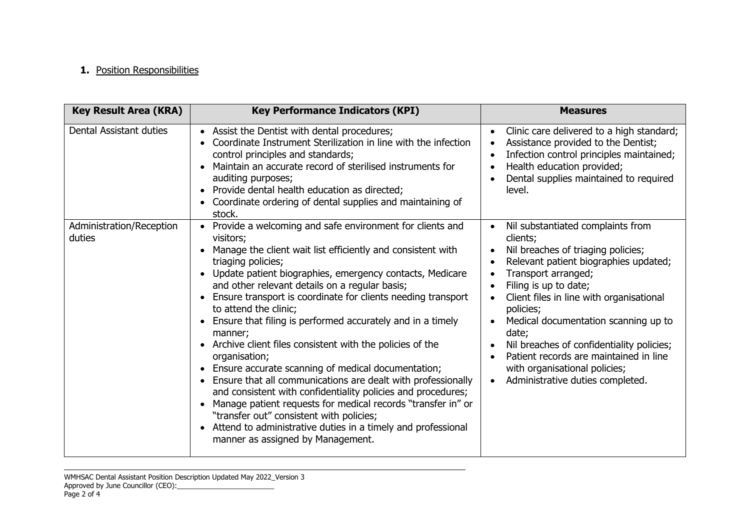## **1.** Position Responsibilities

| <b>Key Result Area (KRA)</b>       | <b>Key Performance Indicators (KPI)</b>                                                                                                                                                                                                                                                                                                                                                                                                                                                                                                                                                                                                                                                                                                                                                                                                                                                                                        | <b>Measures</b>                                                                                                                                                                                                                                                                                                                                                                                                                                                              |
|------------------------------------|--------------------------------------------------------------------------------------------------------------------------------------------------------------------------------------------------------------------------------------------------------------------------------------------------------------------------------------------------------------------------------------------------------------------------------------------------------------------------------------------------------------------------------------------------------------------------------------------------------------------------------------------------------------------------------------------------------------------------------------------------------------------------------------------------------------------------------------------------------------------------------------------------------------------------------|------------------------------------------------------------------------------------------------------------------------------------------------------------------------------------------------------------------------------------------------------------------------------------------------------------------------------------------------------------------------------------------------------------------------------------------------------------------------------|
| Dental Assistant duties            | Assist the Dentist with dental procedures;<br>Coordinate Instrument Sterilization in line with the infection<br>control principles and standards;<br>Maintain an accurate record of sterilised instruments for<br>auditing purposes;<br>Provide dental health education as directed;<br>Coordinate ordering of dental supplies and maintaining of<br>stock.                                                                                                                                                                                                                                                                                                                                                                                                                                                                                                                                                                    | Clinic care delivered to a high standard;<br>$\bullet$<br>Assistance provided to the Dentist;<br>Infection control principles maintained;<br>Health education provided;<br>Dental supplies maintained to required<br>level.                                                                                                                                                                                                                                                  |
| Administration/Reception<br>duties | Provide a welcoming and safe environment for clients and<br>visitors;<br>Manage the client wait list efficiently and consistent with<br>triaging policies;<br>Update patient biographies, emergency contacts, Medicare<br>and other relevant details on a regular basis;<br>Ensure transport is coordinate for clients needing transport<br>to attend the clinic;<br>Ensure that filing is performed accurately and in a timely<br>manner;<br>Archive client files consistent with the policies of the<br>organisation;<br>Ensure accurate scanning of medical documentation;<br>Ensure that all communications are dealt with professionally<br>and consistent with confidentiality policies and procedures;<br>Manage patient requests for medical records "transfer in" or<br>"transfer out" consistent with policies;<br>Attend to administrative duties in a timely and professional<br>manner as assigned by Management. | Nil substantiated complaints from<br>$\bullet$<br>clients;<br>Nil breaches of triaging policies;<br>Relevant patient biographies updated;<br>Transport arranged;<br>Filing is up to date;<br>Client files in line with organisational<br>policies;<br>Medical documentation scanning up to<br>date;<br>Nil breaches of confidentiality policies;<br>Patient records are maintained in line<br>with organisational policies;<br>Administrative duties completed.<br>$\bullet$ |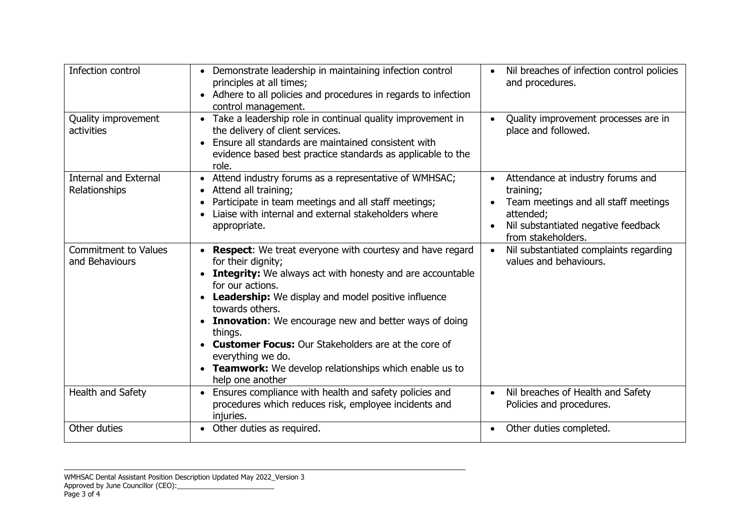| Infection control                             | Demonstrate leadership in maintaining infection control<br>principles at all times;<br>Adhere to all policies and procedures in regards to infection<br>control management.                                                                                                                                                                                                                                                                                                                          | Nil breaches of infection control policies<br>$\bullet$<br>and procedures.                                                                                                    |  |
|-----------------------------------------------|------------------------------------------------------------------------------------------------------------------------------------------------------------------------------------------------------------------------------------------------------------------------------------------------------------------------------------------------------------------------------------------------------------------------------------------------------------------------------------------------------|-------------------------------------------------------------------------------------------------------------------------------------------------------------------------------|--|
| Quality improvement<br>activities             | • Take a leadership role in continual quality improvement in<br>Quality improvement processes are in<br>the delivery of client services.<br>place and followed.<br>Ensure all standards are maintained consistent with<br>evidence based best practice standards as applicable to the<br>role.                                                                                                                                                                                                       |                                                                                                                                                                               |  |
| <b>Internal and External</b><br>Relationships | • Attend industry forums as a representative of WMHSAC;<br>Attend all training;<br>Participate in team meetings and all staff meetings;<br>Liaise with internal and external stakeholders where<br>appropriate.                                                                                                                                                                                                                                                                                      | Attendance at industry forums and<br>$\bullet$<br>training;<br>Team meetings and all staff meetings<br>attended;<br>Nil substantiated negative feedback<br>from stakeholders. |  |
| <b>Commitment to Values</b><br>and Behaviours | <b>Respect:</b> We treat everyone with courtesy and have regard<br>for their dignity;<br><b>Integrity:</b> We always act with honesty and are accountable<br>for our actions.<br>Leadership: We display and model positive influence<br>towards others.<br><b>Innovation:</b> We encourage new and better ways of doing<br>things.<br><b>Customer Focus:</b> Our Stakeholders are at the core of<br>everything we do.<br>• Teamwork: We develop relationships which enable us to<br>help one another | Nil substantiated complaints regarding<br>values and behaviours.                                                                                                              |  |
| Health and Safety                             | Ensures compliance with health and safety policies and<br>procedures which reduces risk, employee incidents and<br>injuries.                                                                                                                                                                                                                                                                                                                                                                         | Nil breaches of Health and Safety<br>$\bullet$<br>Policies and procedures.                                                                                                    |  |
| Other duties                                  | Other duties completed.<br>Other duties as required.<br>$\bullet$                                                                                                                                                                                                                                                                                                                                                                                                                                    |                                                                                                                                                                               |  |